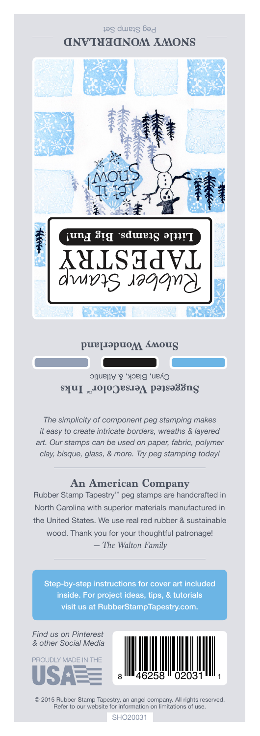

## **Snowy Wonderland**

Cyan, Black, & Atlantic **Suggested VersaColor** Inks

*The simplicity of component peg stamping makes it easy to create intricate borders, wreaths & layered art. Our stamps can be used on paper, fabric, polymer clay, bisque, glass, & more. Try peg stamping today!*

## **An American Company**

*— The Walton Family* Rubber Stamp Tapestry™ peg stamps are handcrafted in North Carolina with superior materials manufactured in the United States. We use real red rubber & sustainable wood. Thank you for your thoughtful patronage!

Step-by-step instructions for cover art included inside. For project ideas, tips, & tutorials visit us at RubberStampTapestry.com.

*Find us on Pinterest & other Social Media*





© 2015 Rubber Stamp Tapestry, an angel company. All rights reserved. Refer to our website for information on limitations of use.